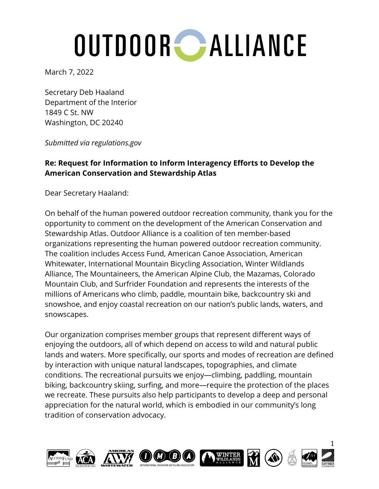March 7, 2022

Secretary Deb Haaland Department of the Interior 1849 C St. NW Washington, DC 20240

*Submitted via regulations.gov*

#### **Re: Request for Information to Inform Interagency Efforts to Develop the American Conservation and Stewardship Atlas**

Dear Secretary Haaland:

On behalf of the human powered outdoor recreation community, thank you for the opportunity to comment on the development of the American Conservation and Stewardship Atlas. Outdoor Alliance is a coalition of ten member-based organizations representing the human powered outdoor recreation community. The coalition includes Access Fund, American Canoe Association, American Whitewater, International Mountain Bicycling Association, Winter Wildlands Alliance, The Mountaineers, the American Alpine Club, the Mazamas, Colorado Mountain Club, and Surfrider Foundation and represents the interests of the millions of Americans who climb, paddle, mountain bike, backcountry ski and snowshoe, and enjoy coastal recreation on our nation's public lands, waters, and snowscapes.

Our organization comprises member groups that represent different ways of enjoying the outdoors, all of which depend on access to wild and natural public lands and waters. More specifically, our sports and modes of recreation are defined by interaction with unique natural landscapes, topographies, and climate conditions. The recreational pursuits we enjoy—climbing, paddling, mountain biking, backcountry skiing, surfing, and more—require the protection of the places we recreate. These pursuits also help participants to develop a deep and personal appreciation for the natural world, which is embodied in our community's long tradition of conservation advocacy.

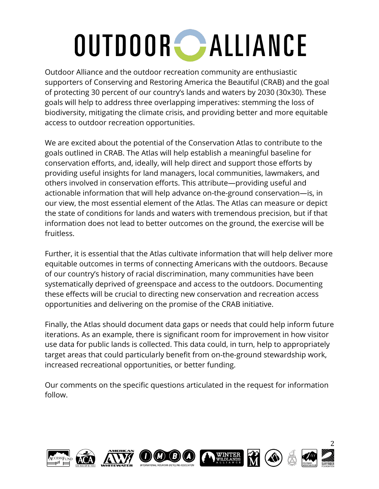Outdoor Alliance and the outdoor recreation community are enthusiastic supporters of Conserving and Restoring America the Beautiful (CRAB) and the goal of protecting 30 percent of our country's lands and waters by 2030 (30x30). These goals will help to address three overlapping imperatives: stemming the loss of biodiversity, mitigating the climate crisis, and providing better and more equitable access to outdoor recreation opportunities.

We are excited about the potential of the Conservation Atlas to contribute to the goals outlined in CRAB. The Atlas will help establish a meaningful baseline for conservation efforts, and, ideally, will help direct and support those efforts by providing useful insights for land managers, local communities, lawmakers, and others involved in conservation efforts. This attribute—providing useful and actionable information that will help advance on-the-ground conservation—is, in our view, the most essential element of the Atlas. The Atlas can measure or depict the state of conditions for lands and waters with tremendous precision, but if that information does not lead to better outcomes on the ground, the exercise will be fruitless.

Further, it is essential that the Atlas cultivate information that will help deliver more equitable outcomes in terms of connecting Americans with the outdoors. Because of our country's history of racial discrimination, many communities have been systematically deprived of greenspace and access to the outdoors. Documenting these effects will be crucial to directing new conservation and recreation access opportunities and delivering on the promise of the CRAB initiative.

Finally, the Atlas should document data gaps or needs that could help inform future iterations. As an example, there is significant room for improvement in how visitor use data for public lands is collected. This data could, in turn, help to appropriately target areas that could particularly benefit from on-the-ground stewardship work, increased recreational opportunities, or better funding.

Our comments on the specific questions articulated in the request for information follow.

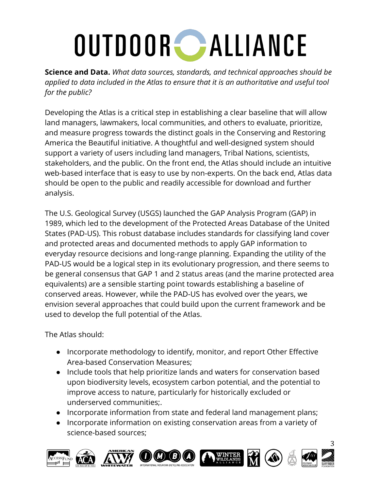**Science and Data.** *What data sources, standards, and technical approaches should be applied to data included in the Atlas to ensure that it is an authoritative and useful tool for the public?*

Developing the Atlas is a critical step in establishing a clear baseline that will allow land managers, lawmakers, local communities, and others to evaluate, prioritize, and measure progress towards the distinct goals in the Conserving and Restoring America the Beautiful initiative. A thoughtful and well-designed system should support a variety of users including land managers, Tribal Nations, scientists, stakeholders, and the public. On the front end, the Atlas should include an intuitive web-based interface that is easy to use by non-experts. On the back end, Atlas data should be open to the public and readily accessible for download and further analysis.

The U.S. Geological Survey (USGS) launched the GAP Analysis Program (GAP) in 1989, which led to the development of the Protected Areas Database of the United States (PAD-US). This robust database includes standards for classifying land cover and protected areas and documented methods to apply GAP information to everyday resource decisions and long-range planning. Expanding the utility of the PAD-US would be a logical step in its evolutionary progression, and there seems to be general consensus that GAP 1 and 2 status areas (and the marine protected area equivalents) are a sensible starting point towards establishing a baseline of conserved areas. However, while the PAD-US has evolved over the years, we envision several approaches that could build upon the current framework and be used to develop the full potential of the Atlas.

The Atlas should:

- Incorporate methodology to identify, monitor, and report Other Effective Area-based Conservation Measures;
- Include tools that help prioritize lands and waters for conservation based upon biodiversity levels, ecosystem carbon potential, and the potential to improve access to nature, particularly for historically excluded or underserved communities;.
- Incorporate information from state and federal land management plans;
- Incorporate information on existing conservation areas from a variety of science-based sources;

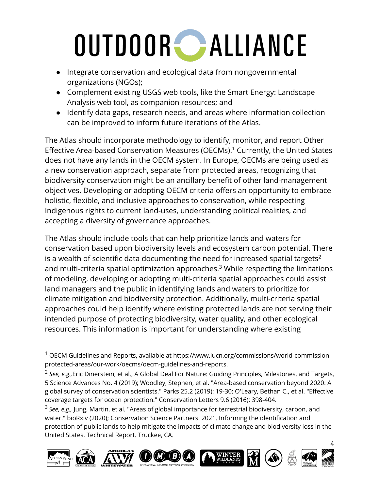- Integrate conservation and ecological data from nongovernmental organizations (NGOs);
- Complement existing USGS web tools, like the Smart Energy: Landscape Analysis web tool, as companion resources; and
- Identify data gaps, research needs, and areas where information collection can be improved to inform future iterations of the Atlas.

The Atlas should incorporate methodology to identify, monitor, and report Other Effective Area-based Conservation Measures (OECMs).<sup>1</sup> Currently, the United States does not have any lands in the OECM system. In Europe, OECMs are being used as a new conservation approach, separate from protected areas, recognizing that biodiversity conservation might be an ancillary benefit of other land-management objectives. Developing or adopting OECM criteria offers an opportunity to embrace holistic, flexible, and inclusive approaches to conservation, while respecting Indigenous rights to current land-uses, understanding political realities, and accepting a diversity of governance approaches.

The Atlas should include tools that can help prioritize lands and waters for conservation based upon biodiversity levels and ecosystem carbon potential. There is a wealth of scientific data documenting the need for increased spatial targets<sup>2</sup> and multi-criteria spatial optimization approaches.<sup>3</sup> While respecting the limitations of modeling, developing or adopting multi-criteria spatial approaches could assist land managers and the public in identifying lands and waters to prioritize for climate mitigation and biodiversity protection. Additionally, multi-criteria spatial approaches could help identify where existing protected lands are not serving their intended purpose of protecting biodiversity, water quality, and other ecological resources. This information is important for understanding where existing

<sup>3</sup> *See, e.g.,* Jung, Martin, et al. "Areas of global importance for terrestrial biodiversity, carbon, and water." bioRxiv (2020); Conservation Science Partners. 2021. Informing the identification and protection of public lands to help mitigate the impacts of climate change and biodiversity loss in the United States. Technical Report. Truckee, CA.











4

 $1$  OECM Guidelines and Reports, available at https://www.iucn.org/commissions/world-commissionprotected-areas/our-work/oecms/oecm-guidelines-and-reports.

<sup>2</sup> *See, e.g.,*Eric Dinerstein, et al., A Global Deal For Nature: Guiding Principles, Milestones, and Targets, 5 Science Advances No. 4 (2019); Woodley, Stephen, et al. "Area-based conservation beyond 2020: A global survey of conservation scientists." Parks 25.2 (2019): 19-30; O'Leary, Bethan C., et al. "Effective coverage targets for ocean protection." Conservation Letters 9.6 (2016): 398-404.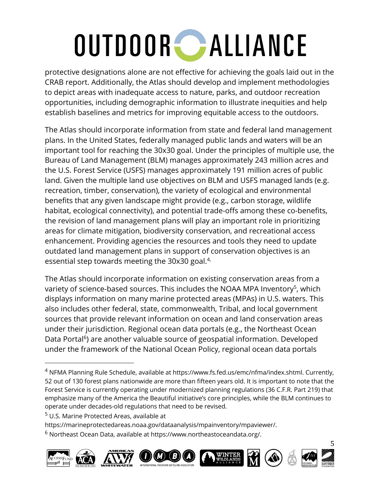protective designations alone are not effective for achieving the goals laid out in the CRAB report. Additionally, the Atlas should develop and implement methodologies to depict areas with inadequate access to nature, parks, and outdoor recreation opportunities, including demographic information to illustrate inequities and help establish baselines and metrics for improving equitable access to the outdoors.

The Atlas should incorporate information from state and federal land management plans. In the United States, federally managed public lands and waters will be an important tool for reaching the 30x30 goal. Under the principles of multiple use, the Bureau of Land Management (BLM) manages approximately 243 million acres and the U.S. Forest Service (USFS) manages approximately 191 million acres of public land. Given the multiple land use objectives on BLM and USFS managed lands (e.g. recreation, timber, conservation), the variety of ecological and environmental benefits that any given landscape might provide (e.g., carbon storage, wildlife habitat, ecological connectivity), and potential trade-offs among these co-benefits, the revision of land management plans will play an important role in prioritizing areas for climate mitigation, biodiversity conservation, and recreational access enhancement. Providing agencies the resources and tools they need to update outdated land management plans in support of conservation objectives is an essential step towards meeting the  $30x30$  goal.<sup>4,</sup>

The Atlas should incorporate information on existing conservation areas from a variety of science-based sources. This includes the NOAA MPA Inventory<sup>5</sup>, which displays information on many marine protected areas (MPAs) in U.S. waters. This also includes other federal, state, commonwealth, Tribal, and local government sources that provide relevant information on ocean and land conservation areas under their jurisdiction. Regional ocean data portals (e.g., the Northeast Ocean Data Portal<sup>6</sup>) are another valuable source of geospatial information. Developed under the framework of the National Ocean Policy, regional ocean data portals

https://marineprotectedareas.noaa.gov/dataanalysis/mpainventory/mpaviewer/.

<sup>6</sup> Northeast Ocean Data, available at https://www.northeastoceandata.org/.













5

<sup>&</sup>lt;sup>4</sup> NFMA Planning Rule Schedule, available at https://www.fs.fed.us/emc/nfma/index.shtml. Currently, 52 out of 130 forest plans nationwide are more than fifteen years old. It is important to note that the Forest Service is currently operating under modernized planning regulations (36 C.F.R. Part 219) that emphasize many of the America the Beautiful initiative's core principles, while the BLM continues to operate under decades-old regulations that need to be revised.

<sup>&</sup>lt;sup>5</sup> U.S. Marine Protected Areas, available at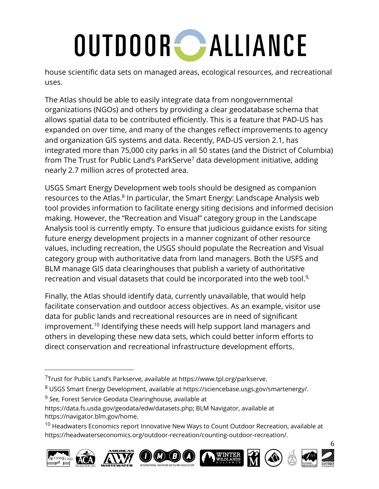house scientific data sets on managed areas, ecological resources, and recreational uses.

The Atlas should be able to easily integrate data from nongovernmental organizations (NGOs) and others by providing a clear geodatabase schema that allows spatial data to be contributed efficiently. This is a feature that PAD-US has expanded on over time, and many of the changes reflect improvements to agency and organization GIS systems and data. Recently, PAD-US version 2.1, has integrated more than 75,000 city parks in all 50 states (and the District of Columbia) from The Trust for Public Land's ParkServe<sup>7</sup> data development initiative, adding nearly 2.7 million acres of protected area.

USGS Smart Energy Development web tools should be designed as companion resources to the Atlas.<sup>8</sup> In particular, the Smart Energy: Landscape Analysis web tool provides information to facilitate energy siting decisions and informed decision making. However, the "Recreation and Visual" category group in the Landscape Analysis tool is currently empty. To ensure that judicious guidance exists for siting future energy development projects in a manner cognizant of other resource values, including recreation, the USGS should populate the Recreation and Visual category group with authoritative data from land managers. Both the USFS and BLM manage GIS data clearinghouses that publish a variety of authoritative recreation and visual datasets that could be incorporated into the web tool.<sup>9,</sup>

Finally, the Atlas should identify data, currently unavailable, that would help facilitate conservation and outdoor access objectives. As an example, visitor use data for public lands and recreational resources are in need of significant improvement.10 Identifying these needs will help support land managers and others in developing these new data sets, which could better inform efforts to direct conservation and recreational infrastructure development efforts.

- <sup>8</sup> USGS Smart Energy Development, available at https://sciencebase.usgs.gov/smartenergy/.
- <sup>9</sup> *See,* Forest Service Geodata Clearinghouse, available at
- https://data.fs.usda.gov/geodata/edw/datasets.php; BLM Navigator, available at https://navigator.blm.gov/home.

 $10$  Headwaters Economics report Innovative New Ways to Count Outdoor Recreation, available at https://headwaterseconomics.org/outdoor-recreation/counting-outdoor-recreation/.













6

 $7$ Trust for Public Land's Parkserve, available at https://www.tpl.org/parkserve.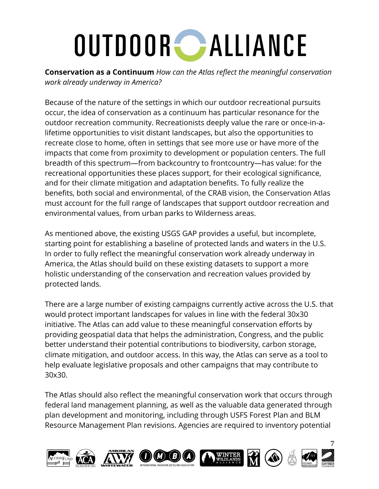**Conservation as a Continuum** *How can the Atlas reflect the meaningful conservation work already underway in America?*

Because of the nature of the settings in which our outdoor recreational pursuits occur, the idea of conservation as a continuum has particular resonance for the outdoor recreation community. Recreationists deeply value the rare or once-in-alifetime opportunities to visit distant landscapes, but also the opportunities to recreate close to home, often in settings that see more use or have more of the impacts that come from proximity to development or population centers. The full breadth of this spectrum—from backcountry to frontcountry—has value: for the recreational opportunities these places support, for their ecological significance, and for their climate mitigation and adaptation benefits. To fully realize the benefits, both social and environmental, of the CRAB vision, the Conservation Atlas must account for the full range of landscapes that support outdoor recreation and environmental values, from urban parks to Wilderness areas.

As mentioned above, the existing USGS GAP provides a useful, but incomplete, starting point for establishing a baseline of protected lands and waters in the U.S. In order to fully reflect the meaningful conservation work already underway in America, the Atlas should build on these existing datasets to support a more holistic understanding of the conservation and recreation values provided by protected lands.

There are a large number of existing campaigns currently active across the U.S. that would protect important landscapes for values in line with the federal 30x30 initiative. The Atlas can add value to these meaningful conservation efforts by providing geospatial data that helps the administration, Congress, and the public better understand their potential contributions to biodiversity, carbon storage, climate mitigation, and outdoor access. In this way, the Atlas can serve as a tool to help evaluate legislative proposals and other campaigns that may contribute to 30x30.

The Atlas should also reflect the meaningful conservation work that occurs through federal land management planning, as well as the valuable data generated through plan development and monitoring, including through USFS Forest Plan and BLM Resource Management Plan revisions. Agencies are required to inventory potential

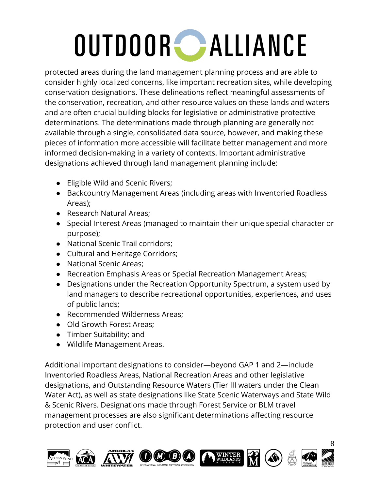protected areas during the land management planning process and are able to consider highly localized concerns, like important recreation sites, while developing conservation designations. These delineations reflect meaningful assessments of the conservation, recreation, and other resource values on these lands and waters and are often crucial building blocks for legislative or administrative protective determinations. The determinations made through planning are generally not available through a single, consolidated data source, however, and making these pieces of information more accessible will facilitate better management and more informed decision-making in a variety of contexts. Important administrative designations achieved through land management planning include:

- Eligible Wild and Scenic Rivers;
- Backcountry Management Areas (including areas with Inventoried Roadless Areas);
- Research Natural Areas;
- Special Interest Areas (managed to maintain their unique special character or purpose);
- National Scenic Trail corridors;
- Cultural and Heritage Corridors;
- National Scenic Areas;
- Recreation Emphasis Areas or Special Recreation Management Areas;
- Designations under the Recreation Opportunity Spectrum, a system used by land managers to describe recreational opportunities, experiences, and uses of public lands;
- Recommended Wilderness Areas:
- Old Growth Forest Areas:
- Timber Suitability; and
- Wildlife Management Areas.

Additional important designations to consider—beyond GAP 1 and 2—include Inventoried Roadless Areas, National Recreation Areas and other legislative designations, and Outstanding Resource Waters (Tier III waters under the Clean Water Act), as well as state designations like State Scenic Waterways and State Wild & Scenic Rivers. Designations made through Forest Service or BLM travel management processes are also significant determinations affecting resource protection and user conflict.

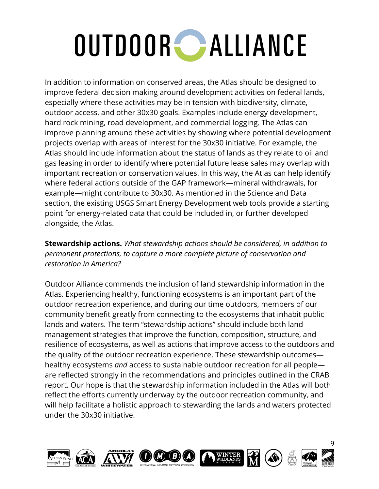In addition to information on conserved areas, the Atlas should be designed to improve federal decision making around development activities on federal lands, especially where these activities may be in tension with biodiversity, climate, outdoor access, and other 30x30 goals. Examples include energy development, hard rock mining, road development, and commercial logging. The Atlas can improve planning around these activities by showing where potential development projects overlap with areas of interest for the 30x30 initiative. For example, the Atlas should include information about the status of lands as they relate to oil and gas leasing in order to identify where potential future lease sales may overlap with important recreation or conservation values. In this way, the Atlas can help identify where federal actions outside of the GAP framework—mineral withdrawals, for example—might contribute to 30x30. As mentioned in the Science and Data section, the existing USGS Smart Energy Development web tools provide a starting point for energy-related data that could be included in, or further developed alongside, the Atlas.

**Stewardship actions.** *What stewardship actions should be considered, in addition to permanent protections, to capture a more complete picture of conservation and restoration in America?*

Outdoor Alliance commends the inclusion of land stewardship information in the Atlas. Experiencing healthy, functioning ecosystems is an important part of the outdoor recreation experience, and during our time outdoors, members of our community benefit greatly from connecting to the ecosystems that inhabit public lands and waters. The term "stewardship actions" should include both land management strategies that improve the function, composition, structure, and resilience of ecosystems, as well as actions that improve access to the outdoors and the quality of the outdoor recreation experience. These stewardship outcomes healthy ecosystems *and* access to sustainable outdoor recreation for all people are reflected strongly in the recommendations and principles outlined in the CRAB report. Our hope is that the stewardship information included in the Atlas will both reflect the efforts currently underway by the outdoor recreation community, and will help facilitate a holistic approach to stewarding the lands and waters protected under the 30x30 initiative.

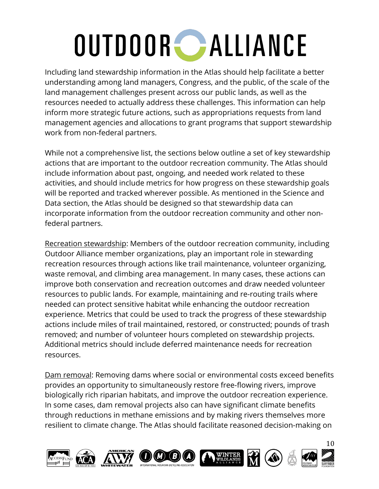Including land stewardship information in the Atlas should help facilitate a better understanding among land managers, Congress, and the public, of the scale of the land management challenges present across our public lands, as well as the resources needed to actually address these challenges. This information can help inform more strategic future actions, such as appropriations requests from land management agencies and allocations to grant programs that support stewardship work from non-federal partners.

While not a comprehensive list, the sections below outline a set of key stewardship actions that are important to the outdoor recreation community. The Atlas should include information about past, ongoing, and needed work related to these activities, and should include metrics for how progress on these stewardship goals will be reported and tracked wherever possible. As mentioned in the Science and Data section, the Atlas should be designed so that stewardship data can incorporate information from the outdoor recreation community and other nonfederal partners.

Recreation stewardship: Members of the outdoor recreation community, including Outdoor Alliance member organizations, play an important role in stewarding recreation resources through actions like trail maintenance, volunteer organizing, waste removal, and climbing area management. In many cases, these actions can improve both conservation and recreation outcomes and draw needed volunteer resources to public lands. For example, maintaining and re-routing trails where needed can protect sensitive habitat while enhancing the outdoor recreation experience. Metrics that could be used to track the progress of these stewardship actions include miles of trail maintained, restored, or constructed; pounds of trash removed; and number of volunteer hours completed on stewardship projects. Additional metrics should include deferred maintenance needs for recreation resources.

Dam removal: Removing dams where social or environmental costs exceed benefits provides an opportunity to simultaneously restore free-flowing rivers, improve biologically rich riparian habitats, and improve the outdoor recreation experience. In some cases, dam removal projects also can have significant climate benefits through reductions in methane emissions and by making rivers themselves more resilient to climate change. The Atlas should facilitate reasoned decision-making on

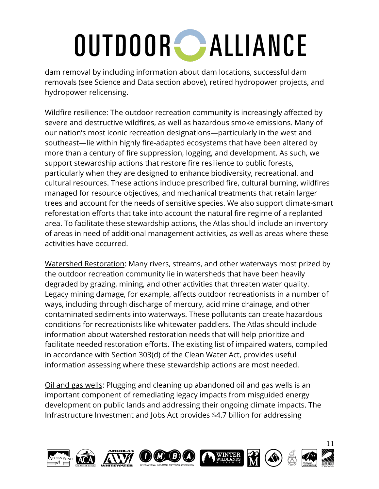dam removal by including information about dam locations, successful dam removals (see Science and Data section above), retired hydropower projects, and hydropower relicensing.

Wildfire resilience: The outdoor recreation community is increasingly affected by severe and destructive wildfires, as well as hazardous smoke emissions. Many of our nation's most iconic recreation designations—particularly in the west and southeast—lie within highly fire-adapted ecosystems that have been altered by more than a century of fire suppression, logging, and development. As such, we support stewardship actions that restore fire resilience to public forests, particularly when they are designed to enhance biodiversity, recreational, and cultural resources. These actions include prescribed fire, cultural burning, wildfires managed for resource objectives, and mechanical treatments that retain larger trees and account for the needs of sensitive species. We also support climate-smart reforestation efforts that take into account the natural fire regime of a replanted area. To facilitate these stewardship actions, the Atlas should include an inventory of areas in need of additional management activities, as well as areas where these activities have occurred.

Watershed Restoration: Many rivers, streams, and other waterways most prized by the outdoor recreation community lie in watersheds that have been heavily degraded by grazing, mining, and other activities that threaten water quality. Legacy mining damage, for example, affects outdoor recreationists in a number of ways, including through discharge of mercury, acid mine drainage, and other contaminated sediments into waterways. These pollutants can create hazardous conditions for recreationists like whitewater paddlers. The Atlas should include information about watershed restoration needs that will help prioritize and facilitate needed restoration efforts. The existing list of impaired waters, compiled in accordance with Section 303(d) of the Clean Water Act, provides useful information assessing where these stewardship actions are most needed.

Oil and gas wells: Plugging and cleaning up abandoned oil and gas wells is an important component of remediating legacy impacts from misguided energy development on public lands and addressing their ongoing climate impacts. The Infrastructure Investment and Jobs Act provides \$4.7 billion for addressing

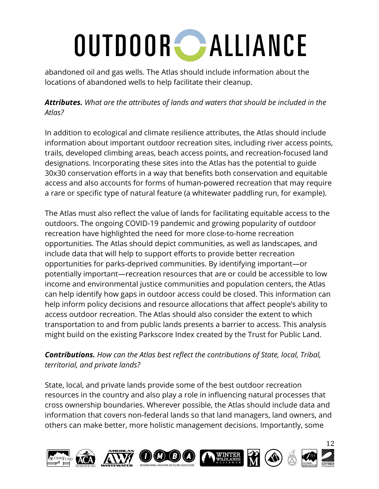abandoned oil and gas wells. The Atlas should include information about the locations of abandoned wells to help facilitate their cleanup.

*Attributes. What are the attributes of lands and waters that should be included in the Atlas?*

In addition to ecological and climate resilience attributes, the Atlas should include information about important outdoor recreation sites, including river access points, trails, developed climbing areas, beach access points, and recreation-focused land designations. Incorporating these sites into the Atlas has the potential to guide 30x30 conservation efforts in a way that benefits both conservation and equitable access and also accounts for forms of human-powered recreation that may require a rare or specific type of natural feature (a whitewater paddling run, for example).

The Atlas must also reflect the value of lands for facilitating equitable access to the outdoors. The ongoing COVID-19 pandemic and growing popularity of outdoor recreation have highlighted the need for more close-to-home recreation opportunities. The Atlas should depict communities, as well as landscapes, and include data that will help to support efforts to provide better recreation opportunities for parks-deprived communities. By identifying important—or potentially important—recreation resources that are or could be accessible to low income and environmental justice communities and population centers, the Atlas can help identify how gaps in outdoor access could be closed. This information can help inform policy decisions and resource allocations that affect people's ability to access outdoor recreation. The Atlas should also consider the extent to which transportation to and from public lands presents a barrier to access. This analysis might build on the existing Parkscore Index created by the Trust for Public Land.

#### *Contributions. How can the Atlas best reflect the contributions of State, local, Tribal, territorial, and private lands?*

State, local, and private lands provide some of the best outdoor recreation resources in the country and also play a role in influencing natural processes that cross ownership boundaries. Wherever possible, the Atlas should include data and information that covers non-federal lands so that land managers, land owners, and others can make better, more holistic management decisions. Importantly, some

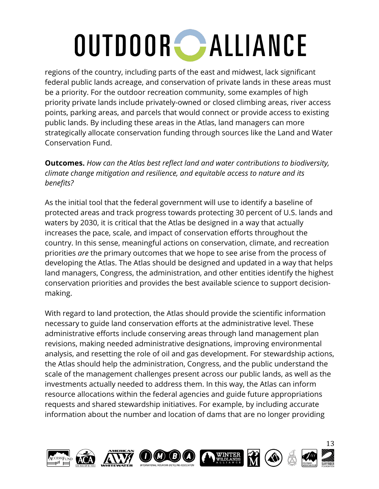regions of the country, including parts of the east and midwest, lack significant federal public lands acreage, and conservation of private lands in these areas must be a priority. For the outdoor recreation community, some examples of high priority private lands include privately-owned or closed climbing areas, river access points, parking areas, and parcels that would connect or provide access to existing public lands. By including these areas in the Atlas, land managers can more strategically allocate conservation funding through sources like the Land and Water Conservation Fund.

**Outcomes.** *How can the Atlas best reflect land and water contributions to biodiversity, climate change mitigation and resilience, and equitable access to nature and its benefits?*

As the initial tool that the federal government will use to identify a baseline of protected areas and track progress towards protecting 30 percent of U.S. lands and waters by 2030, it is critical that the Atlas be designed in a way that actually increases the pace, scale, and impact of conservation efforts throughout the country. In this sense, meaningful actions on conservation, climate, and recreation priorities *are* the primary outcomes that we hope to see arise from the process of developing the Atlas. The Atlas should be designed and updated in a way that helps land managers, Congress, the administration, and other entities identify the highest conservation priorities and provides the best available science to support decisionmaking.

With regard to land protection, the Atlas should provide the scientific information necessary to guide land conservation efforts at the administrative level. These administrative efforts include conserving areas through land management plan revisions, making needed administrative designations, improving environmental analysis, and resetting the role of oil and gas development. For stewardship actions, the Atlas should help the administration, Congress, and the public understand the scale of the management challenges present across our public lands, as well as the investments actually needed to address them. In this way, the Atlas can inform resource allocations within the federal agencies and guide future appropriations requests and shared stewardship initiatives. For example, by including accurate information about the number and location of dams that are no longer providing

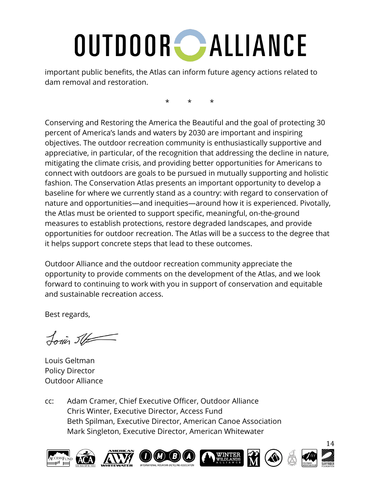important public benefits, the Atlas can inform future agency actions related to dam removal and restoration.

\* \* \*

Conserving and Restoring the America the Beautiful and the goal of protecting 30 percent of America's lands and waters by 2030 are important and inspiring objectives. The outdoor recreation community is enthusiastically supportive and appreciative, in particular, of the recognition that addressing the decline in nature, mitigating the climate crisis, and providing better opportunities for Americans to connect with outdoors are goals to be pursued in mutually supporting and holistic fashion. The Conservation Atlas presents an important opportunity to develop a baseline for where we currently stand as a country: with regard to conservation of nature and opportunities—and inequities—around how it is experienced. Pivotally, the Atlas must be oriented to support specific, meaningful, on-the-ground measures to establish protections, restore degraded landscapes, and provide opportunities for outdoor recreation. The Atlas will be a success to the degree that it helps support concrete steps that lead to these outcomes.

Outdoor Alliance and the outdoor recreation community appreciate the opportunity to provide comments on the development of the Atlas, and we look forward to continuing to work with you in support of conservation and equitable and sustainable recreation access.

Best regards,

Louis St

Louis Geltman Policy Director Outdoor Alliance

cc: Adam Cramer, Chief Executive Officer, Outdoor Alliance Chris Winter, Executive Director, Access Fund Beth Spilman, Executive Director, American Canoe Association Mark Singleton, Executive Director, American Whitewater